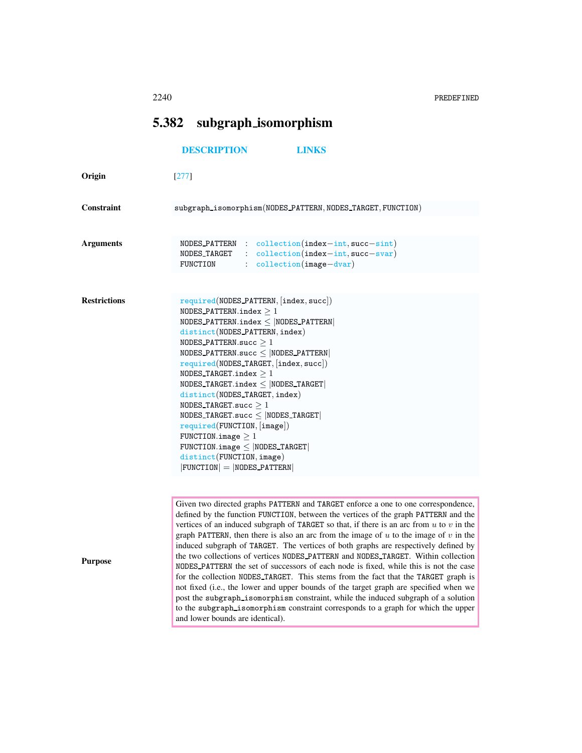## 5.382 subgraph isomorphism

## <span id="page-0-0"></span>[DESCRIPTION](#page-0-0) [LINKS](#page-1-0)

| Origin              | $[277]$                                                                                                                                                                                                                                                                                                                                                                                                                                                                                                                                                                                                                                                                                                                                                                                                                                                                                                         |
|---------------------|-----------------------------------------------------------------------------------------------------------------------------------------------------------------------------------------------------------------------------------------------------------------------------------------------------------------------------------------------------------------------------------------------------------------------------------------------------------------------------------------------------------------------------------------------------------------------------------------------------------------------------------------------------------------------------------------------------------------------------------------------------------------------------------------------------------------------------------------------------------------------------------------------------------------|
| Constraint          | subgraph_isomorphism(NODES_PATTERN,NODES_TARGET,FUNCTION)                                                                                                                                                                                                                                                                                                                                                                                                                                                                                                                                                                                                                                                                                                                                                                                                                                                       |
|                     |                                                                                                                                                                                                                                                                                                                                                                                                                                                                                                                                                                                                                                                                                                                                                                                                                                                                                                                 |
| <b>Arguments</b>    | $NODES$ -PATTERN : collection(index-int, succ-sint)<br>: collection(index-int, succ-svar)<br>NODES TARGET<br>$: $ $\text{collection}(\text{image}-\text{dvar})$<br>FUNCTION                                                                                                                                                                                                                                                                                                                                                                                                                                                                                                                                                                                                                                                                                                                                     |
|                     |                                                                                                                                                                                                                                                                                                                                                                                                                                                                                                                                                                                                                                                                                                                                                                                                                                                                                                                 |
| <b>Restrictions</b> | $required(NODES_PATTERN, [index, succ])$<br>NODES_PATTERN.index $\geq 1$<br>NODES_PATTERN.index $\le$  NODES_PATTERN <br>distinct(NODES_PATTERN, index)<br>NODES_PATTERN.succ $\geq 1$<br>NODES_PATTERN.succ $\leq$  NODES_PATTERN <br>$required(NODES_TARGE, [index, succ])$<br>NODES_TARGET.index $\geq 1$<br>NODES TARGET.index $<$ NODES TARGET<br>distinct(NODES_TARGET, index)<br>NODES TARGET.succ $\geq 1$<br>NODES_TARGET.succ $\le$  NODES_TARGET <br>required(FUNCTION, [image])<br>FUNCTION.image $\geq 1$<br>$FWCITION.\text{image} \leq  NODES_TARGE $<br>distinct(FUNCTION, image)<br>$ FUNCTION  =  NODES.PATTERN $                                                                                                                                                                                                                                                                             |
|                     |                                                                                                                                                                                                                                                                                                                                                                                                                                                                                                                                                                                                                                                                                                                                                                                                                                                                                                                 |
| <b>Purpose</b>      | Given two directed graphs PATTERN and TARGET enforce a one to one correspondence,<br>defined by the function FUNCTION, between the vertices of the graph PATTERN and the<br>vertices of an induced subgraph of TARGET so that, if there is an arc from $u$ to $v$ in the<br>graph PATTERN, then there is also an arc from the image of $u$ to the image of $v$ in the<br>induced subgraph of TARGET. The vertices of both graphs are respectively defined by<br>the two collections of vertices NODES_PATTERN and NODES_TARGET. Within collection<br>NODES_PATTERN the set of successors of each node is fixed, while this is not the case<br>for the collection NODES_TARGET. This stems from the fact that the TARGET graph is<br>not fixed (i.e., the lower and upper bounds of the target graph are specified when we<br>post the subgraph_isomorphism constraint, while the induced subgraph of a solution |

and lower bounds are identical).

to the subgraph isomorphism constraint corresponds to a graph for which the upper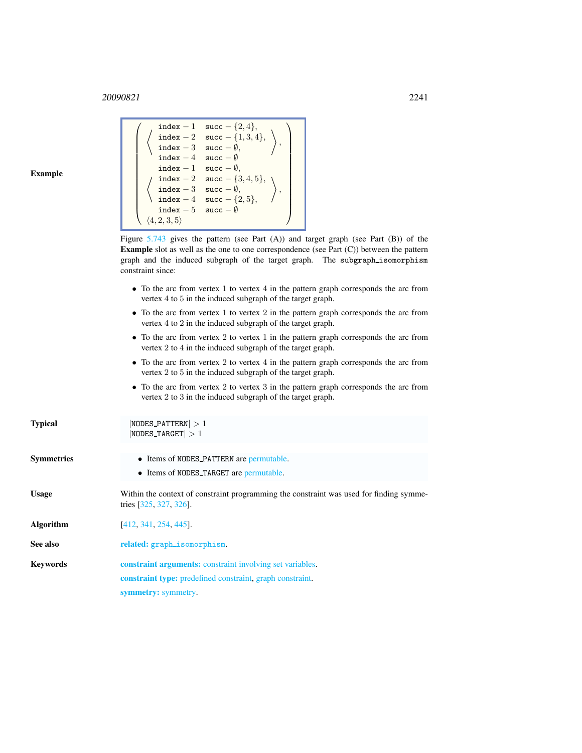<sup>20090821</sup> 2241

 $\sqrt{ }$ 

index - 1 succ - {2, 4},<br>  $\begin{array}{ccc} \text{index} - 2 & \text{succ} - \{1, 3, 4\} \end{array}$  $index - 2 succ - {1, 3, 4},$  $index - 3$  succ  $- \emptyset$ ,

 $\setminus$ ,  $\setminus$ 

## <span id="page-1-0"></span>Example

| <b>Example</b>    | $100^\circ$ $\mu$ $1, 0, \pi$<br>index - 3 succ - $\emptyset$ ,<br>index - 4 succ - $\emptyset$<br>index - 1 succ - $\emptyset$ ,<br>index - 2 succ - {3, 4, 5},<br>index - 3 succ - $\emptyset$ ,<br>index - 4 succ - {2, 5},<br>index - 5 succ - $\emptyset$<br>$\langle 4, 2, 3, 5 \rangle$<br>Figure $5.743$ gives the pattern (see Part (A)) and target graph (see Part (B)) of the<br><b>Example</b> slot as well as the one to one correspondence (see Part $(C)$ ) between the pattern |
|-------------------|------------------------------------------------------------------------------------------------------------------------------------------------------------------------------------------------------------------------------------------------------------------------------------------------------------------------------------------------------------------------------------------------------------------------------------------------------------------------------------------------|
|                   | graph and the induced subgraph of the target graph. The subgraph_isomorphism<br>constraint since:                                                                                                                                                                                                                                                                                                                                                                                              |
|                   | • To the arc from vertex 1 to vertex 4 in the pattern graph corresponds the arc from<br>vertex 4 to 5 in the induced subgraph of the target graph.                                                                                                                                                                                                                                                                                                                                             |
|                   | • To the arc from vertex 1 to vertex 2 in the pattern graph corresponds the arc from<br>vertex 4 to 2 in the induced subgraph of the target graph.                                                                                                                                                                                                                                                                                                                                             |
|                   | • To the arc from vertex 2 to vertex 1 in the pattern graph corresponds the arc from<br>vertex 2 to 4 in the induced subgraph of the target graph.                                                                                                                                                                                                                                                                                                                                             |
|                   | • To the arc from vertex 2 to vertex 4 in the pattern graph corresponds the arc from<br>vertex 2 to 5 in the induced subgraph of the target graph.                                                                                                                                                                                                                                                                                                                                             |
|                   | • To the arc from vertex 2 to vertex 3 in the pattern graph corresponds the arc from<br>vertex 2 to 3 in the induced subgraph of the target graph.                                                                                                                                                                                                                                                                                                                                             |
| <b>Typical</b>    | $ NODES_PATTERN  > 1$<br>$ NODES_T  > 1$                                                                                                                                                                                                                                                                                                                                                                                                                                                       |
| <b>Symmetries</b> | • Items of NODES PATTERN are permutable.                                                                                                                                                                                                                                                                                                                                                                                                                                                       |
|                   | • Items of NODES TARGET are permutable.                                                                                                                                                                                                                                                                                                                                                                                                                                                        |
| <b>Usage</b>      | Within the context of constraint programming the constraint was used for finding symme-<br>tries $[325, 327, 326]$ .                                                                                                                                                                                                                                                                                                                                                                           |
| <b>Algorithm</b>  | [412, 341, 254, 445].                                                                                                                                                                                                                                                                                                                                                                                                                                                                          |
| See also          | related: graph_isomorphism.                                                                                                                                                                                                                                                                                                                                                                                                                                                                    |
| <b>Keywords</b>   | constraint arguments: constraint involving set variables.                                                                                                                                                                                                                                                                                                                                                                                                                                      |
|                   | <b>constraint type:</b> predefined constraint, graph constraint.                                                                                                                                                                                                                                                                                                                                                                                                                               |
|                   | symmetry: symmetry.                                                                                                                                                                                                                                                                                                                                                                                                                                                                            |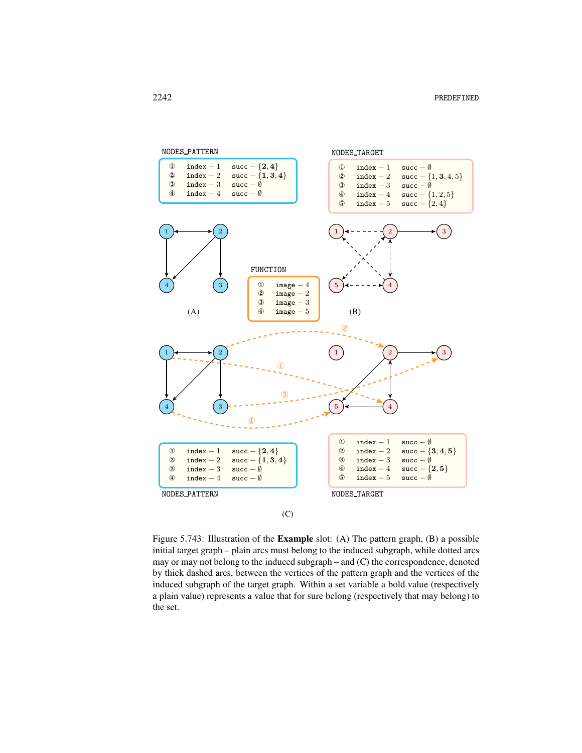

<span id="page-2-0"></span>Figure 5.743: Illustration of the Example slot: (A) The pattern graph, (B) a possible initial target graph – plain arcs must belong to the induced subgraph, while dotted arcs may or may not belong to the induced subgraph – and (C) the correspondence, denoted by thick dashed arcs, between the vertices of the pattern graph and the vertices of the induced subgraph of the target graph. Within a set variable a bold value (respectively a plain value) represents a value that for sure belong (respectively that may belong) to the set.